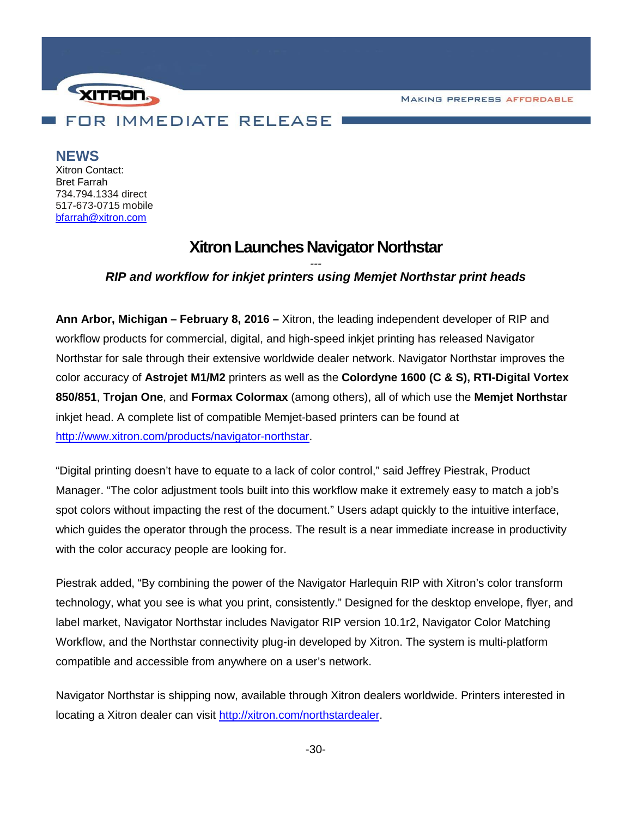**MAKING PREPRESS AFFORDABLE** 



## **NEWS**

Xitron Contact: Bret Farrah 734.794.1334 direct 517-673-0715 mobile [bfarrah@xitron.com](mailto:bfarrah@xitron.com)

# **Xitron Launches Navigator Northstar**

## *--- RIP and workflow for inkjet printers using Memjet Northstar print heads*

**Ann Arbor, Michigan – February 8, 2016 –** Xitron, the leading independent developer of RIP and workflow products for commercial, digital, and high-speed inkjet printing has released Navigator Northstar for sale through their extensive worldwide dealer network. Navigator Northstar improves the color accuracy of **Astrojet M1/M2** printers as well as the **Colordyne 1600 (C & S), RTI-Digital Vortex 850/851**, **Trojan One**, and **Formax Colormax** (among others), all of which use the **Memjet Northstar** inkjet head. A complete list of compatible Memjet-based printers can be found at [http://www.xitron.com/products/navigator-northstar.](http://www.xitron.com/products/navigator-northstar)

"Digital printing doesn't have to equate to a lack of color control," said Jeffrey Piestrak, Product Manager. "The color adjustment tools built into this workflow make it extremely easy to match a job's spot colors without impacting the rest of the document." Users adapt quickly to the intuitive interface, which guides the operator through the process. The result is a near immediate increase in productivity with the color accuracy people are looking for.

Piestrak added, "By combining the power of the Navigator Harlequin RIP with Xitron's color transform technology, what you see is what you print, consistently." Designed for the desktop envelope, flyer, and label market, Navigator Northstar includes Navigator RIP version 10.1r2, Navigator Color Matching Workflow, and the Northstar connectivity plug-in developed by Xitron. The system is multi-platform compatible and accessible from anywhere on a user's network.

Navigator Northstar is shipping now, available through Xitron dealers worldwide. Printers interested in locating a Xitron dealer can visit [http://xitron.com/northstardealer.](http://xitron.com/northstardealer)